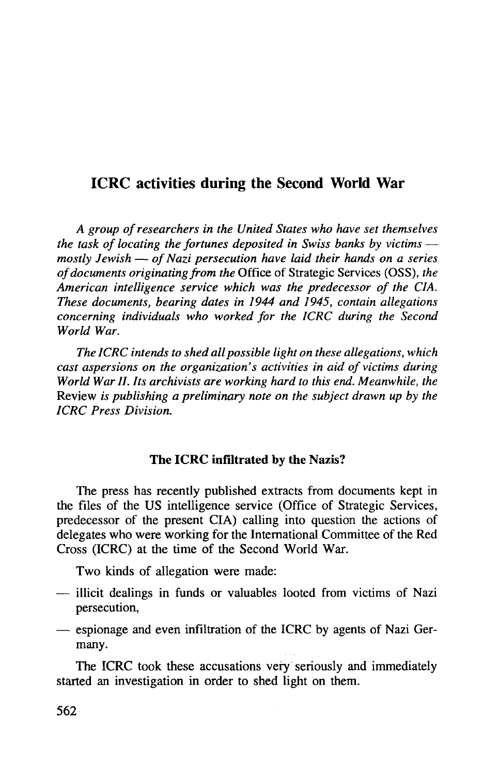# ICRC activities during the Second World War

*A group of researchers in the United States who have set themselves the task of locating the fortunes deposited in Swiss banks by victims mostly Jewish* — *of Nazi persecution have laid their hands on a series of documents originating from the* Office of Strategic Services (OSS), *the American intelligence service which was the predecessor of the CIA. These documents, bearing dates in 1944 and 1945, contain allegations concerning individuals who worked for the ICRC during the Second World War.*

*The ICRC intends to shed all possible light on these allegations, which cast aspersions on the organization's activities in aid of victims during World War II. Its archivists are working hard to this end. Meanwhile, the* Review *is publishing a preliminary note on the subject drawn up by the ICRC Press Division.*

### **The ICRC infiltrated** by **the** Nazis?

The press has recently published extracts from documents kept in the files of the US intelligence service (Office of Strategic Services, predecessor of the present CIA) calling into question the actions of delegates who were working for the International Committee of the Red Cross (ICRC) at the time of the Second World War.

Two kinds of allegation were made:

- illicit dealings in funds or valuables looted from victims of Nazi persecution,
- espionage and even infiltration of the ICRC by agents of Nazi Germany.

The ICRC took these accusations very seriously and immediately started an investigation in order to shed light on them.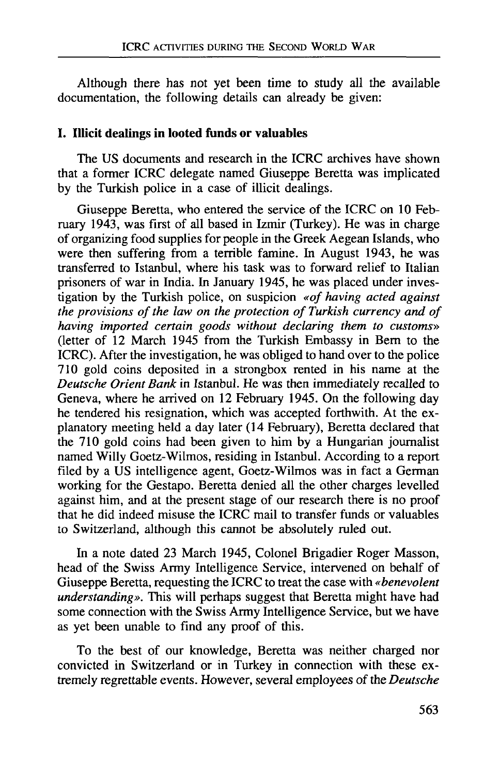Although there has not yet been time to study all the available documentation, the following details can already be given:

#### **I. Illicit dealings in looted funds or valuables**

The US documents and research in the ICRC archives have shown that a former ICRC delegate named Giuseppe Beretta was implicated by the Turkish police in a case of illicit dealings.

Giuseppe Beretta, who entered the service of the ICRC on 10 February 1943, was first of all based in Izmir (Turkey). He was in charge of organizing food supplies for people in the Greek Aegean Islands, who were then suffering from a terrible famine. In August 1943, he was transferred to Istanbul, where his task was to forward relief to Italian prisoners of war in India. In January 1945, he was placed under investigation by the Turkish police, on suspicion *«of having acted against the provisions of the law on the protection of Turkish currency and of having imported certain goods without declaring them to customs»* (letter of 12 March 1945 from the Turkish Embassy in Bern to the ICRC). After the investigation, he was obliged to hand over to the police 710 gold coins deposited in a strongbox rented in his name at the *Deutsche Orient Bank* in Istanbul. He was then immediately recalled to Geneva, where he arrived on 12 February 1945. On the following day he tendered his resignation, which was accepted forthwith. At the explanatory meeting held a day later (14 February), Beretta declared that the 710 gold coins had been given to him by a Hungarian journalist named Willy Goetz-Wilmos, residing in Istanbul. According to a report filed by a US intelligence agent, Goetz-Wilmos was in fact a German working for the Gestapo. Beretta denied all the other charges levelled against him, and at the present stage of our research there is no proof that he did indeed misuse the ICRC mail to transfer funds or valuables to Switzerland, although this cannot be absolutely ruled out.

In a note dated 23 March 1945, Colonel Brigadier Roger Masson, head of the Swiss Army Intelligence Service, intervened on behalf of Giuseppe Beretta, requesting the ICRC to treat the case with *«benevolent understanding».* This will perhaps suggest that Beretta might have had some connection with the Swiss Army Intelligence Service, but we have as yet been unable to find any proof of this.

To the best of our knowledge, Beretta was neither charged nor convicted in Switzerland or in Turkey in connection with these extremely regrettable events. However, several employees of the *Deutsche*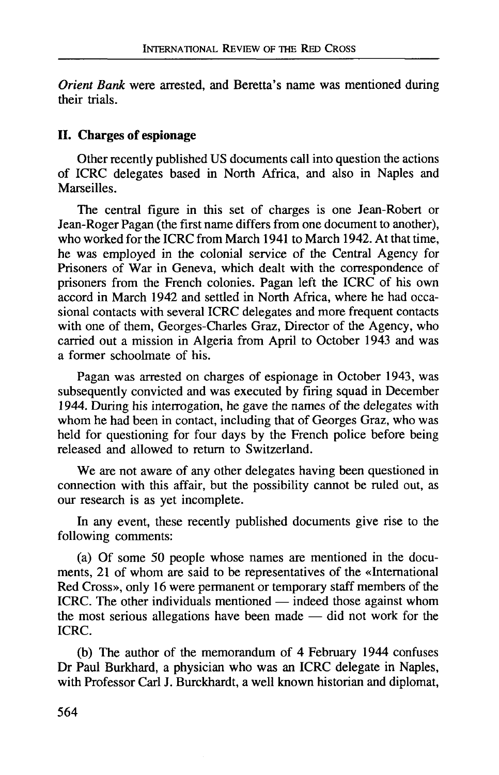*Orient Bank* were arrested, and Beretta's name was mentioned during their trials.

#### **II. Charges of espionage**

Other recently published US documents call into question the actions of ICRC delegates based in North Africa, and also in Naples and **Marseilles** 

The central figure in this set of charges is one Jean-Robert or Jean-Roger Pagan (the first name differs from one document to another), who worked for the ICRC from March 1941 to March 1942. At that time, he was employed in the colonial service of the Central Agency for Prisoners of War in Geneva, which dealt with the correspondence of prisoners from the French colonies. Pagan left the ICRC of his own accord in March 1942 and settled in North Africa, where he had occasional contacts with several ICRC delegates and more frequent contacts with one of them, Georges-Charles Graz, Director of the Agency, who carried out a mission in Algeria from April to October 1943 and was a former schoolmate of his.

Pagan was arrested on charges of espionage in October 1943, was subsequently convicted and was executed by firing squad in December 1944. During his interrogation, he gave the names of the delegates with whom he had been in contact, including that of Georges Graz, who was held for questioning for four days by the French police before being released and allowed to return to Switzerland.

We are not aware of any other delegates having been questioned in connection with this affair, but the possibility cannot be ruled out, as our research is as yet incomplete.

In any event, these recently published documents give rise to the following comments:

(a) Of some 50 people whose names are mentioned in the documents, 21 of whom are said to be representatives of the «International Red Cross», only 16 were permanent or temporary staff members of the ICRC. The other individuals mentioned — indeed those against whom the most serious allegations have been made — did not work for the ICRC.

(b) The author of the memorandum of 4 February 1944 confuses Dr Paul Burkhard, a physician who was an ICRC delegate in Naples, with Professor Carl J. Burckhardt, a well known historian and diplomat,

564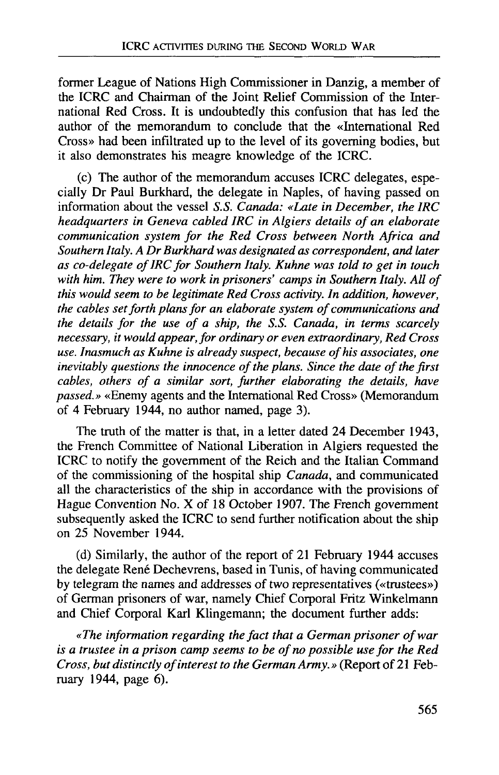former League of Nations High Commissioner in Danzig, a member of the ICRC and Chairman of the Joint Relief Commission of the International Red Cross. It is undoubtedly this confusion that has led the author of the memorandum to conclude that the «International Red Cross» had been infiltrated up to the level of its governing bodies, but it also demonstrates his meagre knowledge of the ICRC.

(c) The author of the memorandum accuses ICRC delegates, especially Dr Paul Burkhard, the delegate in Naples, of having passed on information about the vessel *S.S. Canada: «Late in December, the IRC headquarters in Geneva cabled IRC in Algiers details of an elaborate communication system for the Red Cross between North Africa and Southern Italy. A Dr Burkhard was designated as correspondent, and later as co-delegate of IRC for Southern Italy. Kuhne was told to get in touch with him. They were to work in prisoners' camps in Southern Italy. All of this would seem to be legitimate Red Cross activity. In addition, however, the cables set forth plans for an elaborate system of communications and the details for the use of a ship, the S.S. Canada, in terms scarcely necessary, it would appear, for ordinary or even extraordinary, Red Cross use. Inasmuch as Kuhne is already suspect, because of his associates, one inevitably questions the innocence of the plans. Since the date of the first cables, others of a similar sort, further elaborating the details, have passed.»* «Enemy agents and the International Red Cross» (Memorandum of 4 February 1944, no author named, page 3).

The truth of the matter is that, in a letter dated 24 December 1943, the French Committee of National Liberation in Algiers requested the ICRC to notify the government of the Reich and the Italian Command of the commissioning of the hospital ship *Canada,* and communicated all the characteristics of the ship in accordance with the provisions of Hague Convention No. X of 18 October 1907. The French government subsequently asked the ICRC to send further notification about the ship on 25 November 1944.

(d) Similarly, the author of the report of 21 February 1944 accuses the delegate René Dechevrens, based in Tunis, of having communicated by telegram the names and addresses of two representatives («trustees») of German prisoners of war, namely Chief Corporal Fritz Winkelmann and Chief Corporal Karl Klingemann; the document further adds:

*«The information regarding the fact that a German prisoner of war is a trustee in a prison camp seems to be of no possible use for the Red Cross, but distinctly of interest to the German Army.»* (Report of 21 February 1944, page 6).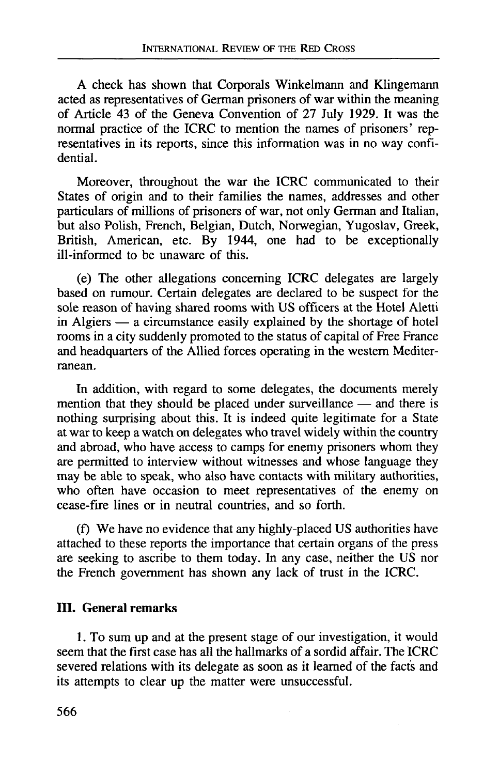A check has shown that Corporals Winkelmann and Klingemann acted as representatives of German prisoners of war within the meaning of Article 43 of the Geneva Convention of 27 July 1929. It was the normal practice of the ICRC to mention the names of prisoners' representatives in its reports, since this information was in no way confidential.

Moreover, throughout the war the ICRC communicated to their States of origin and to their families the names, addresses and other particulars of millions of prisoners of war, not only German and Italian, but also Polish, French, Belgian, Dutch, Norwegian, Yugoslav, Greek, British, American, etc. By 1944, one had to be exceptionally ill-informed to be unaware of this.

(e) The other allegations concerning ICRC delegates are largely based on rumour. Certain delegates are declared to be suspect for the sole reason of having shared rooms with US officers at the Hotel Aletti in Algiers — a circumstance easily explained by the shortage of hotel rooms in a city suddenly promoted to the status of capital of Free France and headquarters of the Allied forces operating in the western Mediterranean.

In addition, with regard to some delegates, the documents merely mention that they should be placed under surveillance — and there is nothing surprising about this. It is indeed quite legitimate for a State at war to keep a watch on delegates who travel widely within the country and abroad, who have access to camps for enemy prisoners whom they are permitted to interview without witnesses and whose language they may be able to speak, who also have contacts with military authorities, who often have occasion to meet representatives of the enemy on cease-fire lines or in neutral countries, and so forth.

(f) We have no evidence that any highly-placed US authorities have attached to these reports the importance that certain organs of the press are seeking to ascribe to them today. In any case, neither the US nor the French government has shown any lack of trust in the ICRC.

## **III. General remarks**

**1**. To sum up and at the present stage of our investigation, it would seem that the first case has all the hallmarks of a sordid affair. The ICRC severed relations with its delegate as soon as it learned of the facts and its attempts to clear up the matter were unsuccessful.